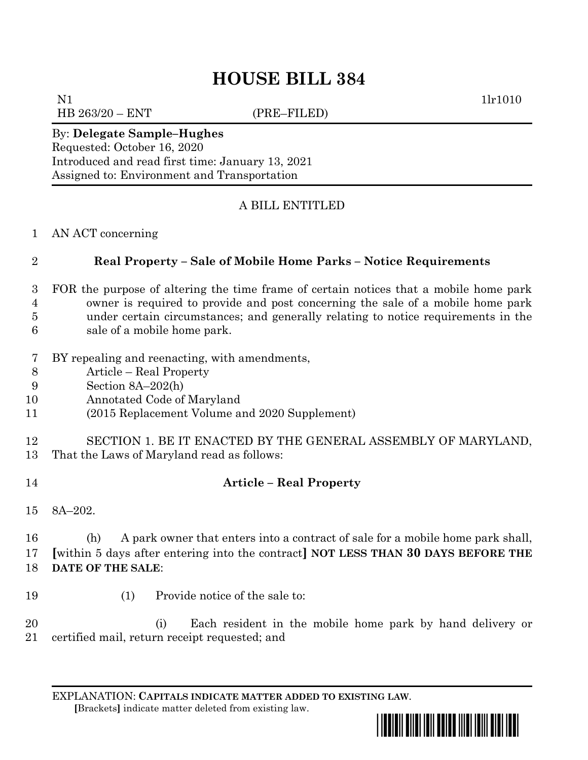# **HOUSE BILL 384**

N1 1lr1010 HB 263/20 – ENT (PRE–FILED)

## By: **Delegate Sample–Hughes**

Requested: October 16, 2020 Introduced and read first time: January 13, 2021 Assigned to: Environment and Transportation

## A BILL ENTITLED

### AN ACT concerning

## **Real Property – Sale of Mobile Home Parks – Notice Requirements**

- FOR the purpose of altering the time frame of certain notices that a mobile home park owner is required to provide and post concerning the sale of a mobile home park under certain circumstances; and generally relating to notice requirements in the sale of a mobile home park.
- 
- BY repealing and reenacting, with amendments,
- Article Real Property
- Section 8A–202(h)
- Annotated Code of Maryland
- (2015 Replacement Volume and 2020 Supplement)
- SECTION 1. BE IT ENACTED BY THE GENERAL ASSEMBLY OF MARYLAND,
- That the Laws of Maryland read as follows:
- **Article – Real Property**
- 8A–202.

 (h) A park owner that enters into a contract of sale for a mobile home park shall, **[**within 5 days after entering into the contract**] NOT LESS THAN 30 DAYS BEFORE THE DATE OF THE SALE**:

- 
- (1) Provide notice of the sale to:

 (i) Each resident in the mobile home park by hand delivery or certified mail, return receipt requested; and

EXPLANATION: **CAPITALS INDICATE MATTER ADDED TO EXISTING LAW**.  **[**Brackets**]** indicate matter deleted from existing law.